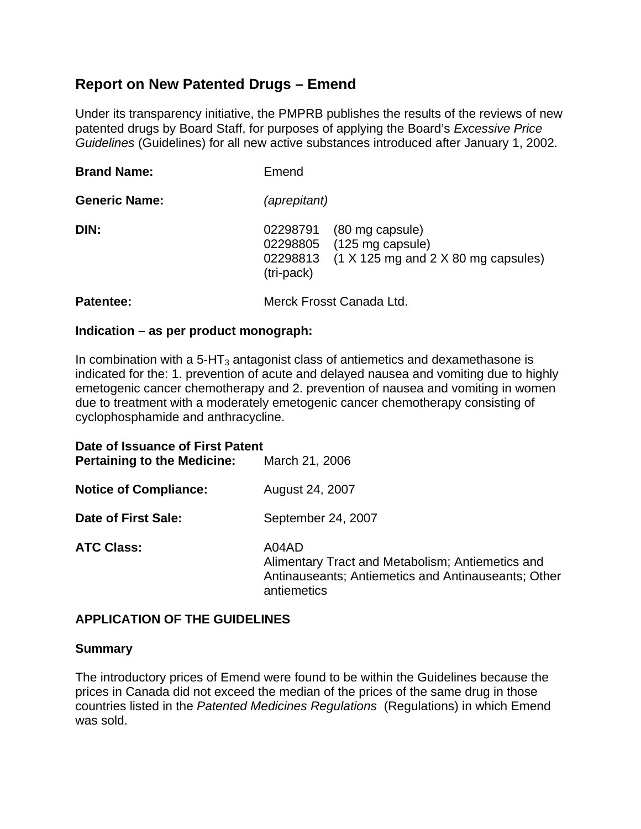# **Report on New Patented Drugs – Emend**

Under its transparency initiative, the PMPRB publishes the results of the reviews of new patented drugs by Board Staff, for purposes of applying the Board's *Excessive Price Guidelines* (Guidelines) for all new active substances introduced after January 1, 2002.

| <b>Brand Name:</b>   | Emend                                          |                                                                                                          |
|----------------------|------------------------------------------------|----------------------------------------------------------------------------------------------------------|
| <b>Generic Name:</b> | <i>(aprepitant)</i>                            |                                                                                                          |
| DIN:                 | 02298791<br>02298805<br>02298813<br>(tri-pack) | (80 mg capsule)<br>(125 mg capsule)<br>$(1 \times 125 \text{ mg}$ and $2 \times 80 \text{ mg}$ capsules) |
| Patentee:            | Merck Frosst Canada Ltd.                       |                                                                                                          |

#### **Indication – as per product monograph:**

In combination with a  $5-HT_3$  antagonist class of antiemetics and dexamethasone is indicated for the: 1. prevention of acute and delayed nausea and vomiting due to highly emetogenic cancer chemotherapy and 2. prevention of nausea and vomiting in women due to treatment with a moderately emetogenic cancer chemotherapy consisting of cyclophosphamide and anthracycline.

| Date of Issuance of First Patent<br><b>Pertaining to the Medicine:</b> | March 21, 2006                                                                                                                  |
|------------------------------------------------------------------------|---------------------------------------------------------------------------------------------------------------------------------|
| <b>Notice of Compliance:</b>                                           | August 24, 2007                                                                                                                 |
| Date of First Sale:                                                    | September 24, 2007                                                                                                              |
| <b>ATC Class:</b>                                                      | A04AD<br>Alimentary Tract and Metabolism; Antiemetics and<br>Antinauseants; Antiemetics and Antinauseants; Other<br>antiemetics |

# **APPLICATION OF THE GUIDELINES**

#### **Summary**

The introductory prices of Emend were found to be within the Guidelines because the prices in Canada did not exceed the median of the prices of the same drug in those countries listed in the *Patented Medicines Regulations* (Regulations) in which Emend was sold.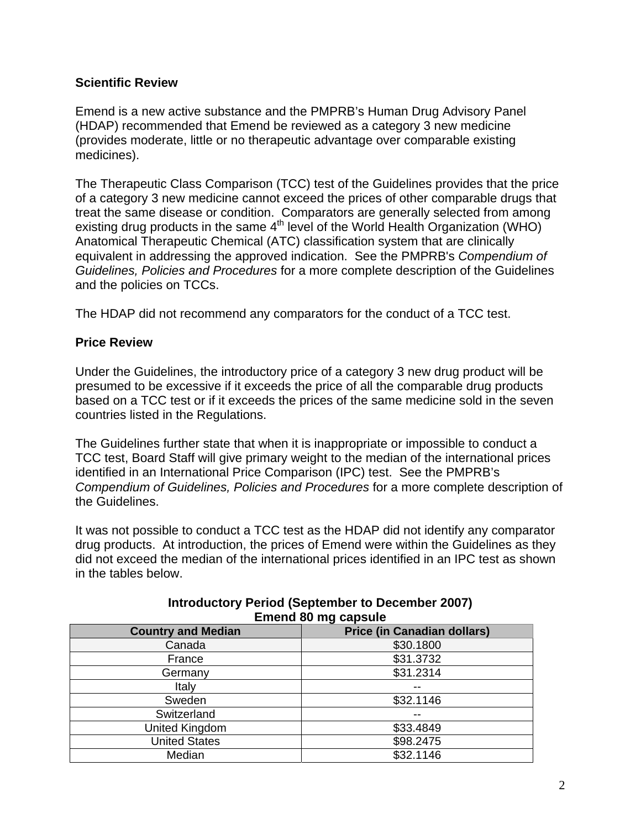# **Scientific Review**

Emend is a new active substance and the PMPRB's Human Drug Advisory Panel (HDAP) recommended that Emend be reviewed as a category 3 new medicine (provides moderate, little or no therapeutic advantage over comparable existing medicines).

The Therapeutic Class Comparison (TCC) test of the Guidelines provides that the price of a category 3 new medicine cannot exceed the prices of other comparable drugs that treat the same disease or condition. Comparators are generally selected from among existing drug products in the same  $4<sup>th</sup>$  level of the World Health Organization (WHO) Anatomical Therapeutic Chemical (ATC) classification system that are clinically equivalent in addressing the approved indication. See the PMPRB's *Compendium of Guidelines, Policies and Procedures* for a more complete description of the Guidelines and the policies on TCCs.

The HDAP did not recommend any comparators for the conduct of a TCC test.

# **Price Review**

Under the Guidelines, the introductory price of a category 3 new drug product will be presumed to be excessive if it exceeds the price of all the comparable drug products based on a TCC test or if it exceeds the prices of the same medicine sold in the seven countries listed in the Regulations.

The Guidelines further state that when it is inappropriate or impossible to conduct a TCC test, Board Staff will give primary weight to the median of the international prices identified in an International Price Comparison (IPC) test. See the PMPRB's *Compendium of Guidelines, Policies and Procedures* for a more complete description of the Guidelines.

It was not possible to conduct a TCC test as the HDAP did not identify any comparator drug products. At introduction, the prices of Emend were within the Guidelines as they did not exceed the median of the international prices identified in an IPC test as shown in the tables below.

| Emend on my capsule       |                                    |  |
|---------------------------|------------------------------------|--|
| <b>Country and Median</b> | <b>Price (in Canadian dollars)</b> |  |
| Canada                    | \$30.1800                          |  |
| France                    | \$31.3732                          |  |
| Germany                   | \$31.2314                          |  |
| Italy                     |                                    |  |
| Sweden                    | \$32.1146                          |  |
| Switzerland               |                                    |  |
| United Kingdom            | \$33.4849                          |  |
| <b>United States</b>      | \$98.2475                          |  |
| Median                    | \$32.1146                          |  |

### **Introductory Period (September to December 2007) Emend 80 mg capsule**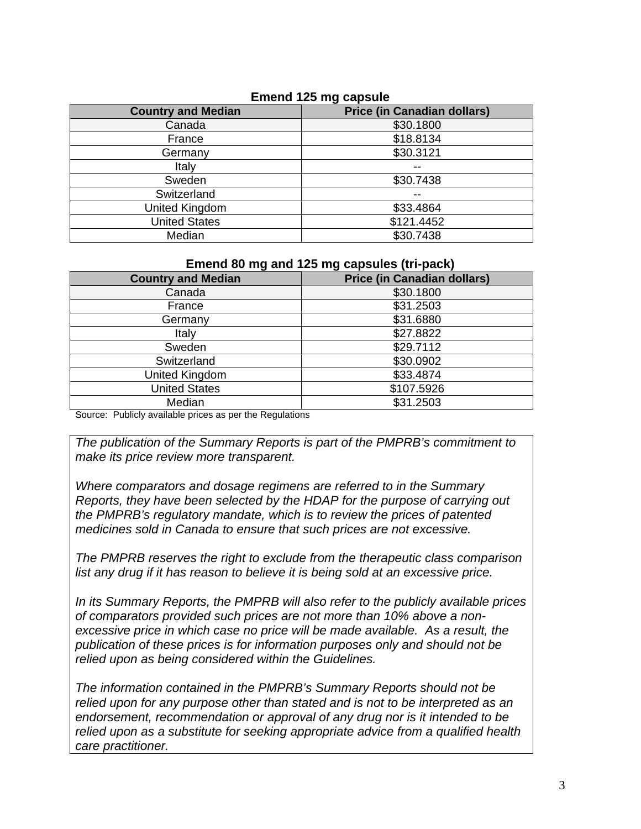| <b>Country and Median</b> | <b>Price (in Canadian dollars)</b> |
|---------------------------|------------------------------------|
| Canada                    | \$30.1800                          |
| France                    | \$18.8134                          |
| Germany                   | \$30.3121                          |
| Italy                     |                                    |
| Sweden                    | \$30.7438                          |
| Switzerland               |                                    |
| United Kingdom            | \$33.4864                          |
| <b>United States</b>      | \$121.4452                         |
| Median                    | \$30.7438                          |

### **Emend 125 mg capsule**

#### **Emend 80 mg and 125 mg capsules (tri-pack)**

| <b>Country and Median</b> | <b>Price (in Canadian dollars)</b> |
|---------------------------|------------------------------------|
| Canada                    | \$30.1800                          |
| France                    | \$31.2503                          |
| Germany                   | \$31.6880                          |
| Italy                     | \$27.8822                          |
| Sweden                    | \$29.7112                          |
| Switzerland               | \$30.0902                          |
| United Kingdom            | \$33.4874                          |
| <b>United States</b>      | \$107.5926                         |
| Median                    | \$31.2503                          |

Source: Publicly available prices as per the Regulations

*The publication of the Summary Reports is part of the PMPRB's commitment to make its price review more transparent.* 

*Where comparators and dosage regimens are referred to in the Summary Reports, they have been selected by the HDAP for the purpose of carrying out the PMPRB's regulatory mandate, which is to review the prices of patented medicines sold in Canada to ensure that such prices are not excessive.* 

*The PMPRB reserves the right to exclude from the therapeutic class comparison list any drug if it has reason to believe it is being sold at an excessive price.* 

*In its Summary Reports, the PMPRB will also refer to the publicly available prices of comparators provided such prices are not more than 10% above a nonexcessive price in which case no price will be made available. As a result, the publication of these prices is for information purposes only and should not be relied upon as being considered within the Guidelines.* 

*The information contained in the PMPRB's Summary Reports should not be relied upon for any purpose other than stated and is not to be interpreted as an endorsement, recommendation or approval of any drug nor is it intended to be relied upon as a substitute for seeking appropriate advice from a qualified health care practitioner.*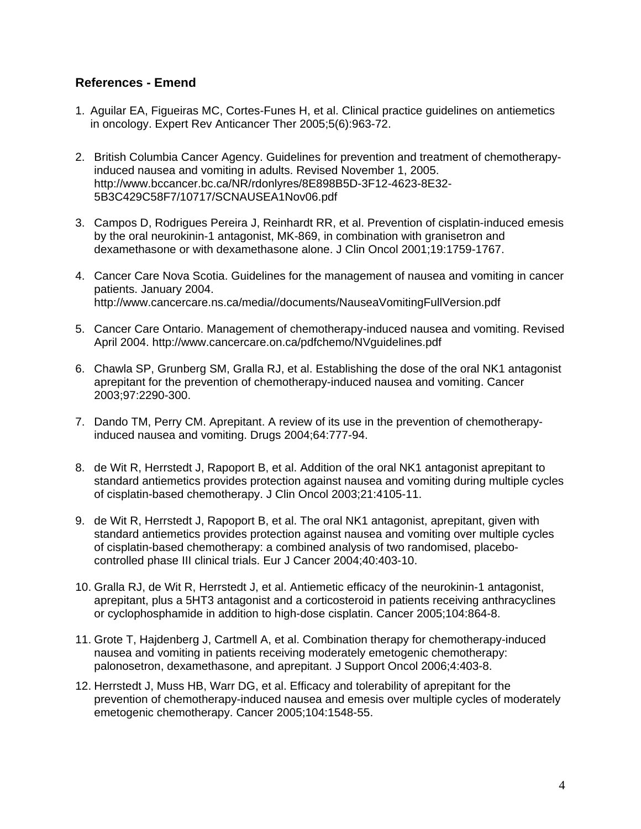# **References - Emend**

- 1. Aguilar EA, Figueiras MC, Cortes-Funes H, et al. Clinical practice guidelines on antiemetics in oncology. Expert Rev Anticancer Ther 2005;5(6):963-72.
- 2. British Columbia Cancer Agency. Guidelines for prevention and treatment of chemotherapyinduced nausea and vomiting in adults. Revised November 1, 2005. http://www.bccancer.bc.ca/NR/rdonlyres/8E898B5D-3F12-4623-8E32- 5B3C429C58F7/10717/SCNAUSEA1Nov06.pdf
- 3. Campos D, Rodrigues Pereira J, Reinhardt RR, et al. Prevention of cisplatin-induced emesis by the oral neurokinin-1 antagonist, MK-869, in combination with granisetron and dexamethasone or with dexamethasone alone. J Clin Oncol 2001;19:1759-1767.
- 4. Cancer Care Nova Scotia. Guidelines for the management of nausea and vomiting in cancer patients. January 2004. http://www.cancercare.ns.ca/media//documents/NauseaVomitingFullVersion.pdf
- 5. Cancer Care Ontario. Management of chemotherapy-induced nausea and vomiting. Revised April 2004. http://www.cancercare.on.ca/pdfchemo/NVguidelines.pdf
- 6. Chawla SP, Grunberg SM, Gralla RJ, et al. Establishing the dose of the oral NK1 antagonist aprepitant for the prevention of chemotherapy-induced nausea and vomiting. Cancer 2003;97:2290-300.
- 7. Dando TM, Perry CM. Aprepitant. A review of its use in the prevention of chemotherapyinduced nausea and vomiting. Drugs 2004;64:777-94.
- 8. de Wit R, Herrstedt J, Rapoport B, et al. Addition of the oral NK1 antagonist aprepitant to standard antiemetics provides protection against nausea and vomiting during multiple cycles of cisplatin-based chemotherapy. J Clin Oncol 2003;21:4105-11.
- 9. de Wit R, Herrstedt J, Rapoport B, et al. The oral NK1 antagonist, aprepitant, given with standard antiemetics provides protection against nausea and vomiting over multiple cycles of cisplatin-based chemotherapy: a combined analysis of two randomised, placebocontrolled phase III clinical trials. Eur J Cancer 2004;40:403-10.
- 10. Gralla RJ, de Wit R, Herrstedt J, et al. Antiemetic efficacy of the neurokinin-1 antagonist, aprepitant, plus a 5HT3 antagonist and a corticosteroid in patients receiving anthracyclines or cyclophosphamide in addition to high-dose cisplatin. Cancer 2005;104:864-8.
- 11. Grote T, Hajdenberg J, Cartmell A, et al. Combination therapy for chemotherapy-induced nausea and vomiting in patients receiving moderately emetogenic chemotherapy: palonosetron, dexamethasone, and aprepitant. J Support Oncol 2006;4:403-8.
- 12. Herrstedt J, Muss HB, Warr DG, et al. Efficacy and tolerability of aprepitant for the prevention of chemotherapy-induced nausea and emesis over multiple cycles of moderately emetogenic chemotherapy. Cancer 2005;104:1548-55.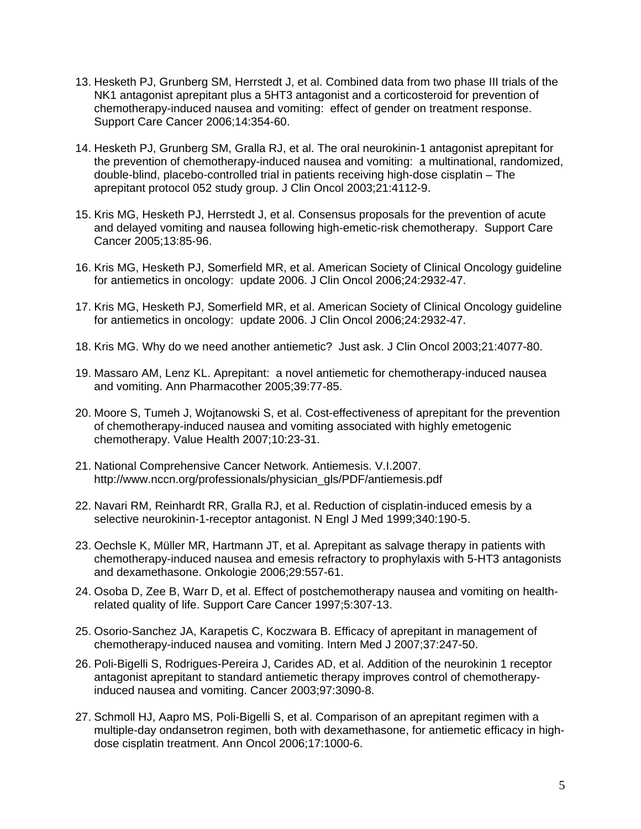- 13. Hesketh PJ, Grunberg SM, Herrstedt J, et al. Combined data from two phase III trials of the NK1 antagonist aprepitant plus a 5HT3 antagonist and a corticosteroid for prevention of chemotherapy-induced nausea and vomiting: effect of gender on treatment response. Support Care Cancer 2006;14:354-60.
- 14. Hesketh PJ, Grunberg SM, Gralla RJ, et al. The oral neurokinin-1 antagonist aprepitant for the prevention of chemotherapy-induced nausea and vomiting: a multinational, randomized, double-blind, placebo-controlled trial in patients receiving high-dose cisplatin – The aprepitant protocol 052 study group. J Clin Oncol 2003;21:4112-9.
- 15. Kris MG, Hesketh PJ, Herrstedt J, et al. Consensus proposals for the prevention of acute and delayed vomiting and nausea following high-emetic-risk chemotherapy. Support Care Cancer 2005;13:85-96.
- 16. Kris MG, Hesketh PJ, Somerfield MR, et al. American Society of Clinical Oncology guideline for antiemetics in oncology: update 2006. J Clin Oncol 2006;24:2932-47.
- 17. Kris MG, Hesketh PJ, Somerfield MR, et al. American Society of Clinical Oncology guideline for antiemetics in oncology: update 2006. J Clin Oncol 2006;24:2932-47.
- 18. Kris MG. Why do we need another antiemetic? Just ask. J Clin Oncol 2003;21:4077-80.
- 19. Massaro AM, Lenz KL. Aprepitant: a novel antiemetic for chemotherapy-induced nausea and vomiting. Ann Pharmacother 2005;39:77-85.
- 20. Moore S, Tumeh J, Wojtanowski S, et al. Cost-effectiveness of aprepitant for the prevention of chemotherapy-induced nausea and vomiting associated with highly emetogenic chemotherapy. Value Health 2007;10:23-31.
- 21. National Comprehensive Cancer Network. Antiemesis. V.I.2007. http://www.nccn.org/professionals/physician\_gls/PDF/antiemesis.pdf
- 22. Navari RM, Reinhardt RR, Gralla RJ, et al. Reduction of cisplatin-induced emesis by a selective neurokinin-1-receptor antagonist. N Engl J Med 1999;340:190-5.
- 23. Oechsle K, Müller MR, Hartmann JT, et al. Aprepitant as salvage therapy in patients with chemotherapy-induced nausea and emesis refractory to prophylaxis with 5-HT3 antagonists and dexamethasone. Onkologie 2006;29:557-61.
- 24. Osoba D, Zee B, Warr D, et al. Effect of postchemotherapy nausea and vomiting on healthrelated quality of life. Support Care Cancer 1997;5:307-13.
- 25. Osorio-Sanchez JA, Karapetis C, Koczwara B. Efficacy of aprepitant in management of chemotherapy-induced nausea and vomiting. Intern Med J 2007;37:247-50.
- 26. Poli-Bigelli S, Rodrigues-Pereira J, Carides AD, et al. Addition of the neurokinin 1 receptor antagonist aprepitant to standard antiemetic therapy improves control of chemotherapyinduced nausea and vomiting. Cancer 2003;97:3090-8.
- 27. Schmoll HJ, Aapro MS, Poli-Bigelli S, et al. Comparison of an aprepitant regimen with a multiple-day ondansetron regimen, both with dexamethasone, for antiemetic efficacy in highdose cisplatin treatment. Ann Oncol 2006;17:1000-6.